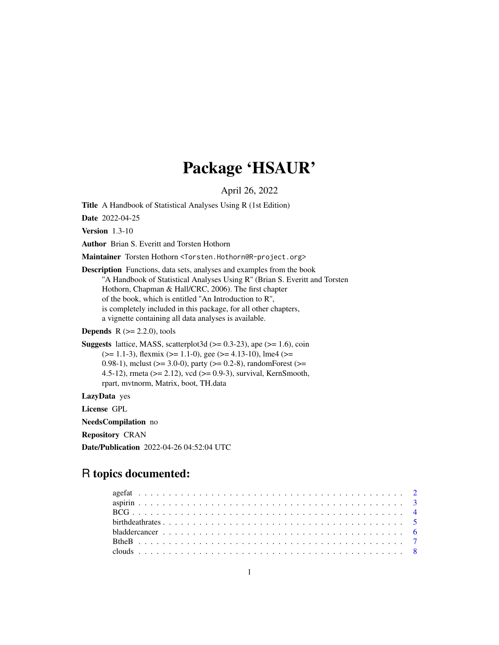# Package 'HSAUR'

April 26, 2022

<span id="page-0-0"></span>Title A Handbook of Statistical Analyses Using R (1st Edition)

Date 2022-04-25

Version 1.3-10

Author Brian S. Everitt and Torsten Hothorn

Maintainer Torsten Hothorn <Torsten.Hothorn@R-project.org>

Description Functions, data sets, analyses and examples from the book "A Handbook of Statistical Analyses Using R" (Brian S. Everitt and Torsten Hothorn, Chapman & Hall/CRC, 2006). The first chapter of the book, which is entitled ''An Introduction to R'', is completely included in this package, for all other chapters, a vignette containing all data analyses is available.

**Depends**  $R$  ( $>= 2.2.0$ ), tools

**Suggests** lattice, MASS, scatterplot3d  $(>= 0.3-23)$ , ape  $(>= 1.6)$ , coin  $(>= 1.1-3)$ , flexmix  $(>= 1.1-0)$ , gee  $(>= 4.13-10)$ , lme4  $(>= 1.1-3)$ 0.98-1), mclust ( $>= 3.0-0$ ), party ( $>= 0.2-8$ ), randomForest ( $>=$ 4.5-12), rmeta (>= 2.12), vcd (>= 0.9-3), survival, KernSmooth, rpart, mvtnorm, Matrix, boot, TH.data

LazyData yes

License GPL

NeedsCompilation no

Repository CRAN

Date/Publication 2022-04-26 04:52:04 UTC

# R topics documented: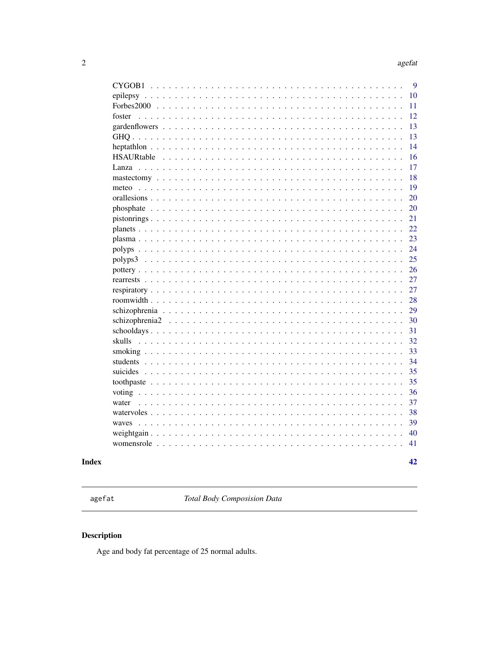$42$ 

<span id="page-1-0"></span>

| CYGOB1 | 9   |
|--------|-----|
|        | 10  |
|        | 11  |
| foster | 12  |
|        | 13  |
|        | 13  |
|        | 14  |
|        | 16  |
|        | 17  |
|        | 18  |
| meteo  | 19  |
|        | 20  |
|        | 20  |
|        | 21  |
|        | 22. |
|        | 23  |
|        | 24  |
|        | 25  |
|        | 26  |
|        | 27  |
|        | 27  |
|        | 28  |
|        | 29  |
|        | 30  |
|        | 31  |
| skulls | 32  |
|        | 33  |
|        | 34  |
|        | 35  |
|        | 35  |
|        | 36  |
| water  | 37  |
|        | 38  |
| waves  | 39  |
|        | 40  |
|        | 41  |
|        |     |

# **Index**

agefat

Total Body Composision Data

# Description

Age and body fat percentage of 25 normal adults.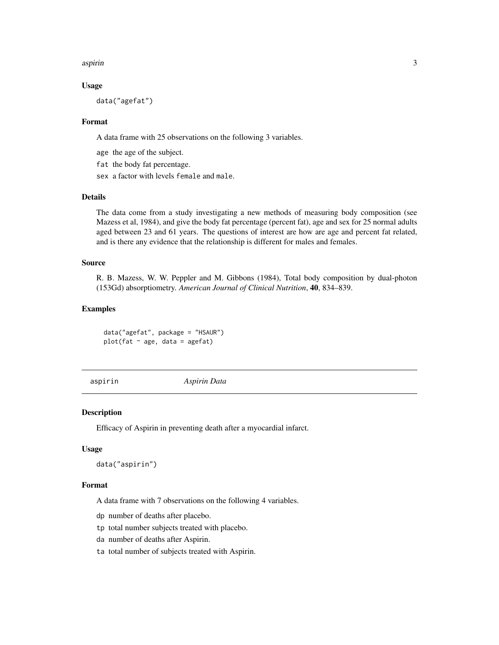#### <span id="page-2-0"></span>aspirin 3

# Usage

data("agefat")

## Format

A data frame with 25 observations on the following 3 variables.

age the age of the subject.

fat the body fat percentage.

sex a factor with levels female and male.

# Details

The data come from a study investigating a new methods of measuring body composition (see Mazess et al, 1984), and give the body fat percentage (percent fat), age and sex for 25 normal adults aged between 23 and 61 years. The questions of interest are how are age and percent fat related, and is there any evidence that the relationship is different for males and females.

## Source

R. B. Mazess, W. W. Peppler and M. Gibbons (1984), Total body composition by dual-photon (153Gd) absorptiometry. *American Journal of Clinical Nutrition*, 40, 834–839.

# Examples

data("agefat", package = "HSAUR") plot(fat  $\sim$  age, data = agefat)

aspirin *Aspirin Data*

#### Description

Efficacy of Aspirin in preventing death after a myocardial infarct.

# Usage

```
data("aspirin")
```
#### Format

A data frame with 7 observations on the following 4 variables.

dp number of deaths after placebo.

tp total number subjects treated with placebo.

da number of deaths after Aspirin.

ta total number of subjects treated with Aspirin.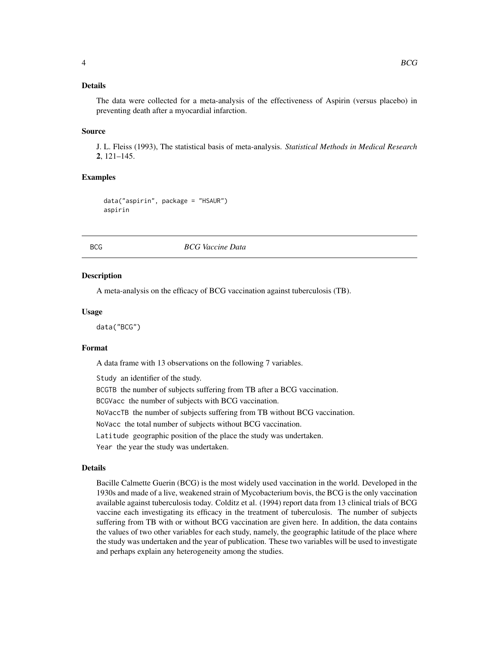# <span id="page-3-0"></span>Details

The data were collected for a meta-analysis of the effectiveness of Aspirin (versus placebo) in preventing death after a myocardial infarction.

#### Source

J. L. Fleiss (1993), The statistical basis of meta-analysis. *Statistical Methods in Medical Research* 2, 121–145.

#### Examples

data("aspirin", package = "HSAUR") aspirin

BCG *BCG Vaccine Data*

#### Description

A meta-analysis on the efficacy of BCG vaccination against tuberculosis (TB).

#### Usage

data("BCG")

#### Format

A data frame with 13 observations on the following 7 variables.

Study an identifier of the study.

BCGTB the number of subjects suffering from TB after a BCG vaccination.

BCGVacc the number of subjects with BCG vaccination.

NoVaccTB the number of subjects suffering from TB without BCG vaccination.

NoVacc the total number of subjects without BCG vaccination.

Latitude geographic position of the place the study was undertaken.

Year the year the study was undertaken.

#### Details

Bacille Calmette Guerin (BCG) is the most widely used vaccination in the world. Developed in the 1930s and made of a live, weakened strain of Mycobacterium bovis, the BCG is the only vaccination available against tuberculosis today. Colditz et al. (1994) report data from 13 clinical trials of BCG vaccine each investigating its efficacy in the treatment of tuberculosis. The number of subjects suffering from TB with or without BCG vaccination are given here. In addition, the data contains the values of two other variables for each study, namely, the geographic latitude of the place where the study was undertaken and the year of publication. These two variables will be used to investigate and perhaps explain any heterogeneity among the studies.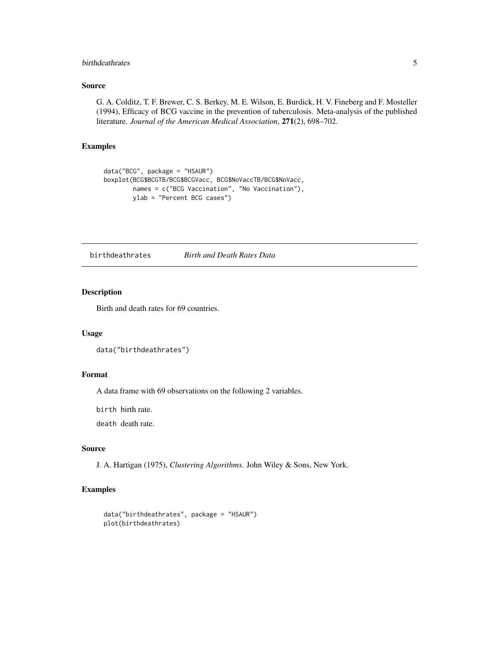# <span id="page-4-0"></span>birthdeathrates 5

# Source

G. A. Colditz, T. F. Brewer, C. S. Berkey, M. E. Wilson, E. Burdick, H. V. Fineberg and F. Mosteller (1994), Efficacy of BCG vaccine in the prevention of tuberculosis. Meta-analysis of the published literature. *Journal of the American Medical Association*, 271(2), 698–702.

# Examples

```
data("BCG", package = "HSAUR")
boxplot(BCG$BCGTB/BCG$BCGVacc, BCG$NoVaccTB/BCG$NoVacc,
        names = c("BCG Vaccination", "No Vaccination"),
       ylab = "Percent BCG cases")
```
birthdeathrates *Birth and Death Rates Data*

# Description

Birth and death rates for 69 countries.

## Usage

data("birthdeathrates")

# Format

A data frame with 69 observations on the following 2 variables.

birth birth rate.

death death rate.

# Source

J. A. Hartigan (1975), *Clustering Algorithms*. John Wiley & Sons, New York.

```
data("birthdeathrates", package = "HSAUR")
plot(birthdeathrates)
```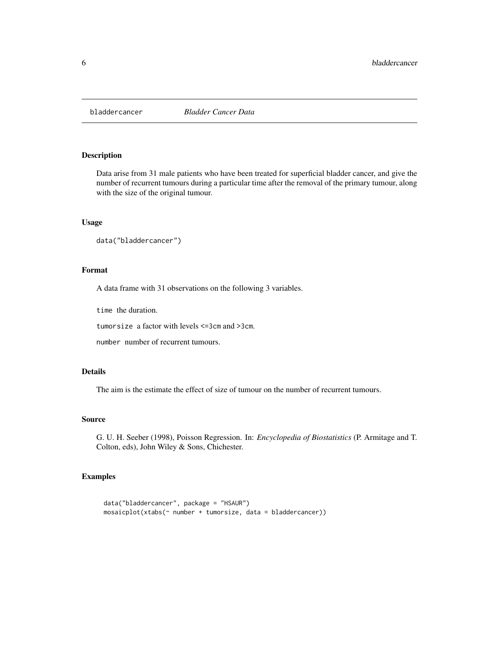<span id="page-5-0"></span>

Data arise from 31 male patients who have been treated for superficial bladder cancer, and give the number of recurrent tumours during a particular time after the removal of the primary tumour, along with the size of the original tumour.

## Usage

```
data("bladdercancer")
```
#### Format

A data frame with 31 observations on the following 3 variables.

time the duration.

tumorsize a factor with levels <=3cm and >3cm.

number number of recurrent tumours.

# Details

The aim is the estimate the effect of size of tumour on the number of recurrent tumours.

#### Source

G. U. H. Seeber (1998), Poisson Regression. In: *Encyclopedia of Biostatistics* (P. Armitage and T. Colton, eds), John Wiley & Sons, Chichester.

```
data("bladdercancer", package = "HSAUR")
mosaicplot(xtabs(~ number + tumorsize, data = bladdercancer))
```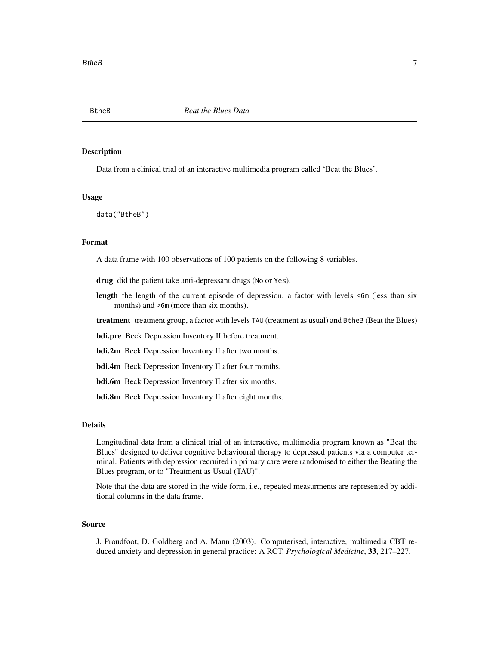<span id="page-6-0"></span>

Data from a clinical trial of an interactive multimedia program called 'Beat the Blues'.

# Usage

data("BtheB")

#### Format

A data frame with 100 observations of 100 patients on the following 8 variables.

drug did the patient take anti-depressant drugs (No or Yes).

- length the length of the current episode of depression, a factor with levels  $\leq$ 6m (less than six months) and  $>6m$  (more than six months).
- treatment treatment group, a factor with levels TAU (treatment as usual) and BtheB (Beat the Blues)
- bdi.pre Beck Depression Inventory II before treatment.
- bdi.2m Beck Depression Inventory II after two months.
- bdi.4m Beck Depression Inventory II after four months.
- bdi.6m Beck Depression Inventory II after six months.
- **bdi.8m** Beck Depression Inventory II after eight months.

#### Details

Longitudinal data from a clinical trial of an interactive, multimedia program known as "Beat the Blues" designed to deliver cognitive behavioural therapy to depressed patients via a computer terminal. Patients with depression recruited in primary care were randomised to either the Beating the Blues program, or to "Treatment as Usual (TAU)".

Note that the data are stored in the wide form, i.e., repeated measurments are represented by additional columns in the data frame.

#### Source

J. Proudfoot, D. Goldberg and A. Mann (2003). Computerised, interactive, multimedia CBT reduced anxiety and depression in general practice: A RCT. *Psychological Medicine*, 33, 217–227.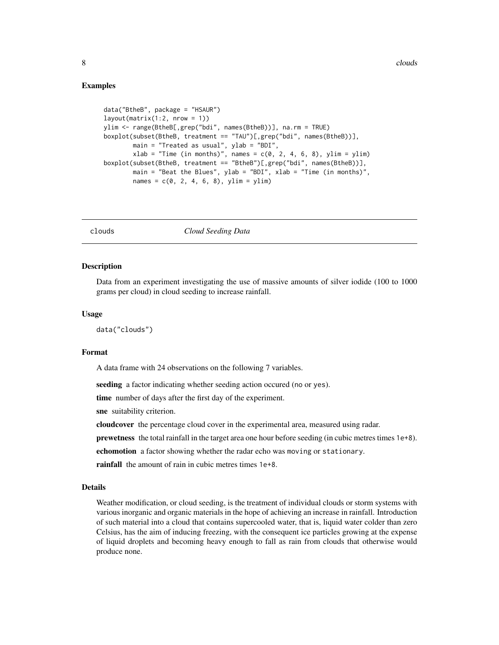## <span id="page-7-0"></span>Examples

```
data("BtheB", package = "HSAUR")
layout(matrix(1:2, nrow = 1))
ylim <- range(BtheB[,grep("bdi", names(BtheB))], na.rm = TRUE)
boxplot(subset(BtheB, treatment == "TAU")[,grep("bdi", names(BtheB))],
        main = "Treated as usual", ylab = "BDI",
       xlab = "Time (in months)", names = c(0, 2, 4, 6, 8), ylim = ylim)
boxplot(subset(BtheB, treatment == "BtheB")[,grep("bdi", names(BtheB))],
       main = "Beat the Blues", ylab = "BDI", xlab = "Time (in months)",
        names = c(0, 2, 4, 6, 8), ylim = ylim)
```
clouds *Cloud Seeding Data*

#### **Description**

Data from an experiment investigating the use of massive amounts of silver iodide (100 to 1000 grams per cloud) in cloud seeding to increase rainfall.

## Usage

data("clouds")

#### Format

A data frame with 24 observations on the following 7 variables.

seeding a factor indicating whether seeding action occured (no or yes).

time number of days after the first day of the experiment.

sne suitability criterion.

cloudcover the percentage cloud cover in the experimental area, measured using radar.

prewetness the total rainfall in the target area one hour before seeding (in cubic metres times 1e+8).

echomotion a factor showing whether the radar echo was moving or stationary.

rainfall the amount of rain in cubic metres times 1e+8.

#### Details

Weather modification, or cloud seeding, is the treatment of individual clouds or storm systems with various inorganic and organic materials in the hope of achieving an increase in rainfall. Introduction of such material into a cloud that contains supercooled water, that is, liquid water colder than zero Celsius, has the aim of inducing freezing, with the consequent ice particles growing at the expense of liquid droplets and becoming heavy enough to fall as rain from clouds that otherwise would produce none.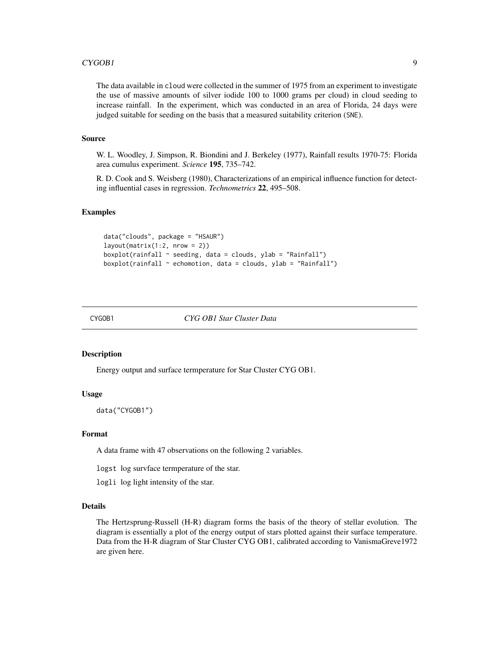#### <span id="page-8-0"></span> $CYGOB1$  9

The data available in cloud were collected in the summer of 1975 from an experiment to investigate the use of massive amounts of silver iodide 100 to 1000 grams per cloud) in cloud seeding to increase rainfall. In the experiment, which was conducted in an area of Florida, 24 days were judged suitable for seeding on the basis that a measured suitability criterion (SNE).

# Source

W. L. Woodley, J. Simpson, R. Biondini and J. Berkeley (1977), Rainfall results 1970-75: Florida area cumulus experiment. *Science* 195, 735–742.

R. D. Cook and S. Weisberg (1980), Characterizations of an empirical influence function for detecting influential cases in regression. *Technometrics* 22, 495–508.

# Examples

```
data("clouds", package = "HSAUR")
layout(matrix(1:2, nrow = 2))
boxplot(rainfall ~ seeding, data = clouds, ylab = "Rainfall")
boxplot(rainfall ~ echomotion, data = clouds, ylab = "Rainfall")
```
CYGOB1 *CYG OB1 Star Cluster Data*

#### Description

Energy output and surface termperature for Star Cluster CYG OB1.

# Usage

data("CYGOB1")

# Format

A data frame with 47 observations on the following 2 variables.

logst log survface termperature of the star.

logli log light intensity of the star.

# Details

The Hertzsprung-Russell (H-R) diagram forms the basis of the theory of stellar evolution. The diagram is essentially a plot of the energy output of stars plotted against their surface temperature. Data from the H-R diagram of Star Cluster CYG OB1, calibrated according to VanismaGreve1972 are given here.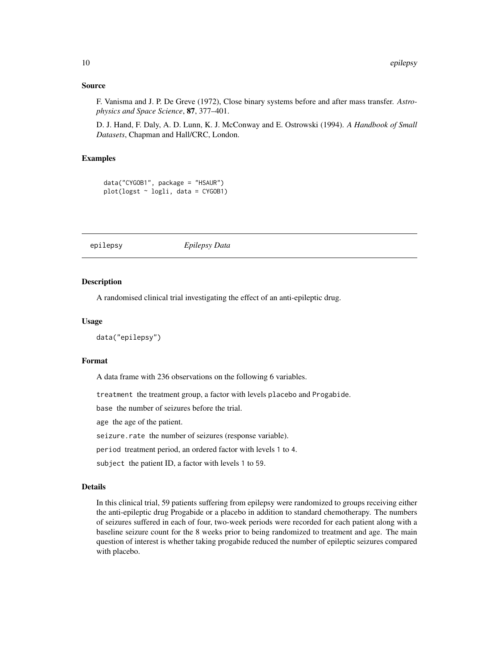# Source

F. Vanisma and J. P. De Greve (1972), Close binary systems before and after mass transfer. *Astrophysics and Space Science*, 87, 377–401.

D. J. Hand, F. Daly, A. D. Lunn, K. J. McConway and E. Ostrowski (1994). *A Handbook of Small Datasets*, Chapman and Hall/CRC, London.

## Examples

```
data("CYGOB1", package = "HSAUR")
plot(logst ~ logli, data = CYG0B1)
```
epilepsy *Epilepsy Data*

# Description

A randomised clinical trial investigating the effect of an anti-epileptic drug.

## Usage

```
data("epilepsy")
```
# Format

A data frame with 236 observations on the following 6 variables.

treatment the treatment group, a factor with levels placebo and Progabide.

base the number of seizures before the trial.

age the age of the patient.

seizure.rate the number of seizures (response variable).

period treatment period, an ordered factor with levels 1 to 4.

subject the patient ID, a factor with levels 1 to 59.

# Details

In this clinical trial, 59 patients suffering from epilepsy were randomized to groups receiving either the anti-epileptic drug Progabide or a placebo in addition to standard chemotherapy. The numbers of seizures suffered in each of four, two-week periods were recorded for each patient along with a baseline seizure count for the 8 weeks prior to being randomized to treatment and age. The main question of interest is whether taking progabide reduced the number of epileptic seizures compared with placebo.

<span id="page-9-0"></span>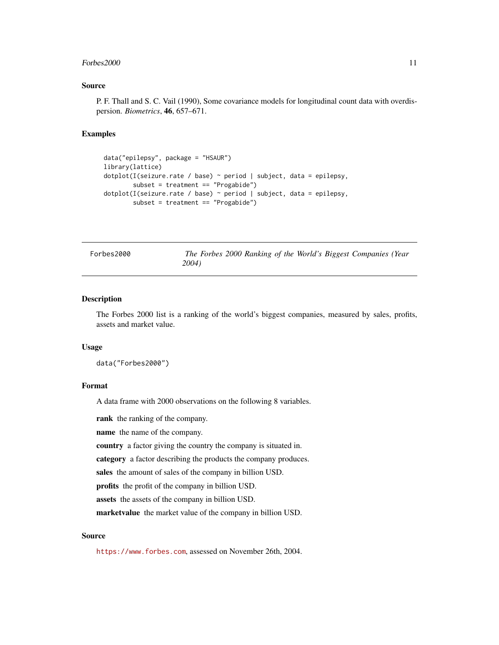#### <span id="page-10-0"></span> $Forbes2000$  11

## Source

P. F. Thall and S. C. Vail (1990), Some covariance models for longitudinal count data with overdispersion. *Biometrics*, 46, 657–671.

# Examples

```
data("epilepsy", package = "HSAUR")
library(lattice)
dotplot(I(seizure.rate / base) ~ period | subject, data = epilepsy,
        subset = treatment == "Progabide")
dotplot(I(seizure.rate / base) ~ period | subject, data = epilepsy,
        subset = treatment == "Progabide")
```
Forbes2000 *The Forbes 2000 Ranking of the World's Biggest Companies (Year 2004)*

# Description

The Forbes 2000 list is a ranking of the world's biggest companies, measured by sales, profits, assets and market value.

#### Usage

data("Forbes2000")

## Format

A data frame with 2000 observations on the following 8 variables.

rank the ranking of the company.

name the name of the company.

country a factor giving the country the company is situated in.

category a factor describing the products the company produces.

sales the amount of sales of the company in billion USD.

profits the profit of the company in billion USD.

assets the assets of the company in billion USD.

marketvalue the market value of the company in billion USD.

# Source

<https://www.forbes.com>, assessed on November 26th, 2004.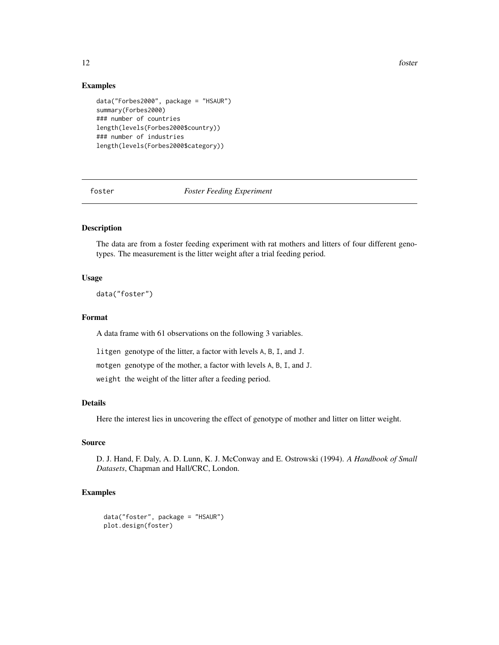12 foster

# Examples

```
data("Forbes2000", package = "HSAUR")
summary(Forbes2000)
### number of countries
length(levels(Forbes2000$country))
### number of industries
length(levels(Forbes2000$category))
```
foster *Foster Feeding Experiment*

# Description

The data are from a foster feeding experiment with rat mothers and litters of four different genotypes. The measurement is the litter weight after a trial feeding period.

# Usage

data("foster")

# Format

A data frame with 61 observations on the following 3 variables.

litgen genotype of the litter, a factor with levels A, B, I, and J.

motgen genotype of the mother, a factor with levels A, B, I, and J.

weight the weight of the litter after a feeding period.

# Details

Here the interest lies in uncovering the effect of genotype of mother and litter on litter weight.

# Source

D. J. Hand, F. Daly, A. D. Lunn, K. J. McConway and E. Ostrowski (1994). *A Handbook of Small Datasets*, Chapman and Hall/CRC, London.

```
data("foster", package = "HSAUR")
plot.design(foster)
```
<span id="page-11-0"></span>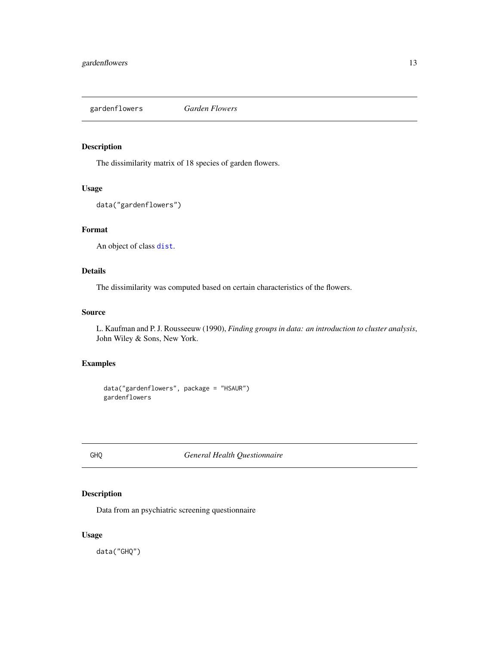<span id="page-12-0"></span>gardenflowers *Garden Flowers*

# Description

The dissimilarity matrix of 18 species of garden flowers.

# Usage

```
data("gardenflowers")
```
# Format

An object of class [dist](#page-0-0).

# Details

The dissimilarity was computed based on certain characteristics of the flowers.

# Source

L. Kaufman and P. J. Rousseeuw (1990), *Finding groups in data: an introduction to cluster analysis*, John Wiley & Sons, New York.

# Examples

```
data("gardenflowers", package = "HSAUR")
gardenflowers
```
## GHQ *General Health Questionnaire*

# Description

Data from an psychiatric screening questionnaire

# Usage

data("GHQ")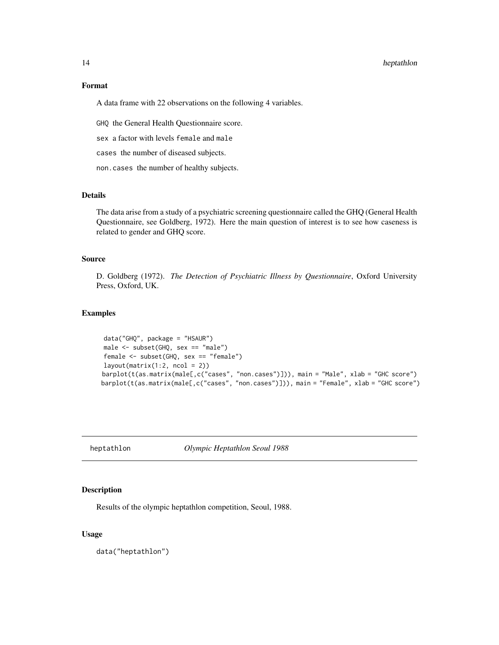# <span id="page-13-0"></span>14 heptathlon

# Format

A data frame with 22 observations on the following 4 variables.

GHQ the General Health Questionnaire score.

sex a factor with levels female and male

cases the number of diseased subjects.

non.cases the number of healthy subjects.

# Details

The data arise from a study of a psychiatric screening questionnaire called the GHQ (General Health Questionnaire, see Goldberg, 1972). Here the main question of interest is to see how caseness is related to gender and GHQ score.

# Source

D. Goldberg (1972). *The Detection of Psychiatric Illness by Questionnaire*, Oxford University Press, Oxford, UK.

## Examples

```
data("GHQ", package = "HSAUR")
male <- subset(GHQ, sex == "male")
female <- subset(GHQ, sex == "female")
layout(matrix(1:2, ncol = 2))barplot(t(as.matrix(male[,c("cases", "non.cases")])), main = "Male", xlab = "GHC score")
barplot(t(as.matrix(male[,c("cases", "non.cases")])), main = "Female", xlab = "GHC score")
```
heptathlon *Olympic Heptathlon Seoul 1988*

# Description

Results of the olympic heptathlon competition, Seoul, 1988.

# Usage

data("heptathlon")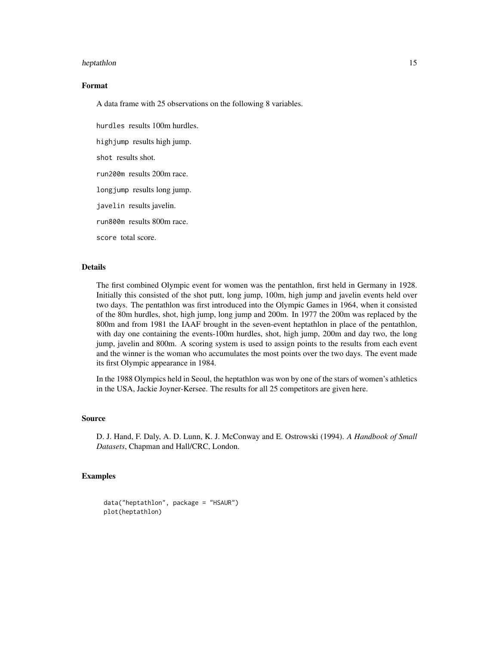#### heptathlon 15

# Format

A data frame with 25 observations on the following 8 variables.

hurdles results 100m hurdles.

highjump results high jump.

shot results shot.

run200m results 200m race.

longjump results long jump.

javelin results javelin.

run800m results 800m race.

score total score.

## Details

The first combined Olympic event for women was the pentathlon, first held in Germany in 1928. Initially this consisted of the shot putt, long jump, 100m, high jump and javelin events held over two days. The pentathlon was first introduced into the Olympic Games in 1964, when it consisted of the 80m hurdles, shot, high jump, long jump and 200m. In 1977 the 200m was replaced by the 800m and from 1981 the IAAF brought in the seven-event heptathlon in place of the pentathlon, with day one containing the events-100m hurdles, shot, high jump, 200m and day two, the long jump, javelin and 800m. A scoring system is used to assign points to the results from each event and the winner is the woman who accumulates the most points over the two days. The event made its first Olympic appearance in 1984.

In the 1988 Olympics held in Seoul, the heptathlon was won by one of the stars of women's athletics in the USA, Jackie Joyner-Kersee. The results for all 25 competitors are given here.

#### Source

D. J. Hand, F. Daly, A. D. Lunn, K. J. McConway and E. Ostrowski (1994). *A Handbook of Small Datasets*, Chapman and Hall/CRC, London.

```
data("heptathlon", package = "HSAUR")
plot(heptathlon)
```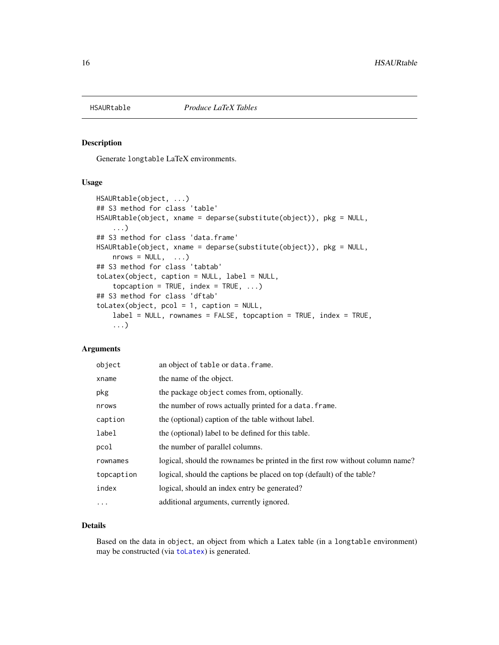<span id="page-15-0"></span>

Generate longtable LaTeX environments.

## Usage

```
HSAURtable(object, ...)
## S3 method for class 'table'
HSAURtable(object, xname = deparse(substitute(object)), pkg = NULL,
    ...)
## S3 method for class 'data.frame'
HSAURtable(object, xname = deparse(substitute(object)), pkg = NULL,
    nrows = NULL, ...## S3 method for class 'tabtab'
toLatex(object, caption = NULL, label = NULL,
    topcaption = TRUE, index = TRUE, ...)
## S3 method for class 'dftab'
toLatex(object, pcol = 1, caption = NULL,
    label = NULL, rownames = FALSE, topcaption = TRUE, index = TRUE,
    ...)
```
# Arguments

| object     | an object of table or data. frame.                                            |
|------------|-------------------------------------------------------------------------------|
| xname      | the name of the object.                                                       |
| pkg        | the package object comes from, optionally.                                    |
| nrows      | the number of rows actually printed for a data. frame.                        |
| caption    | the (optional) caption of the table without label.                            |
| label      | the (optional) label to be defined for this table.                            |
| pcol       | the number of parallel columns.                                               |
| rownames   | logical, should the rownames be printed in the first row without column name? |
| topcaption | logical, should the captions be placed on top (default) of the table?         |
| index      | logical, should an index entry be generated?                                  |
| $\ddotsc$  | additional arguments, currently ignored.                                      |

# Details

Based on the data in object, an object from which a Latex table (in a longtable environment) may be constructed (via [toLatex](#page-0-0)) is generated.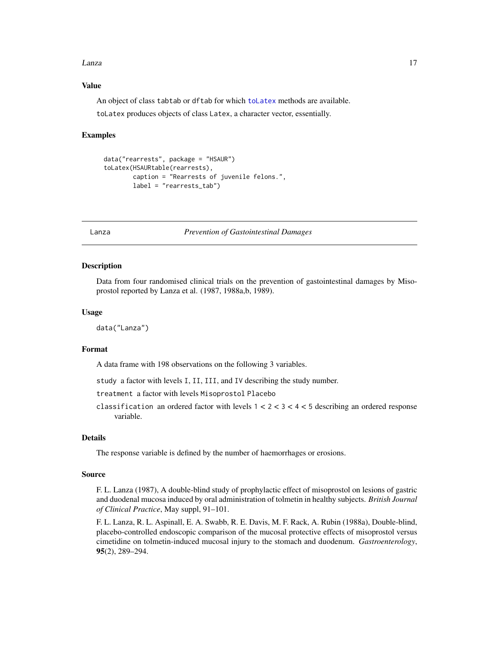#### <span id="page-16-0"></span>Lanza 17

## Value

An object of class tabtab or dftab for which [toLatex](#page-0-0) methods are available.

toLatex produces objects of class Latex, a character vector, essentially.

# Examples

```
data("rearrests", package = "HSAUR")
toLatex(HSAURtable(rearrests),
        caption = "Rearrests of juvenile felons.",
        label = "rearrests_tab")
```
Lanza *Prevention of Gastointestinal Damages*

## **Description**

Data from four randomised clinical trials on the prevention of gastointestinal damages by Misoprostol reported by Lanza et al. (1987, 1988a,b, 1989).

# Usage

data("Lanza")

# Format

A data frame with 198 observations on the following 3 variables.

study a factor with levels I, II, III, and IV describing the study number.

treatment a factor with levels Misoprostol Placebo

classification an ordered factor with levels  $1 < 2 < 3 < 4 < 5$  describing an ordered response variable.

## Details

The response variable is defined by the number of haemorrhages or erosions.

## Source

F. L. Lanza (1987), A double-blind study of prophylactic effect of misoprostol on lesions of gastric and duodenal mucosa induced by oral administration of tolmetin in healthy subjects. *British Journal of Clinical Practice*, May suppl, 91–101.

F. L. Lanza, R. L. Aspinall, E. A. Swabb, R. E. Davis, M. F. Rack, A. Rubin (1988a), Double-blind, placebo-controlled endoscopic comparison of the mucosal protective effects of misoprostol versus cimetidine on tolmetin-induced mucosal injury to the stomach and duodenum. *Gastroenterology*, 95(2), 289–294.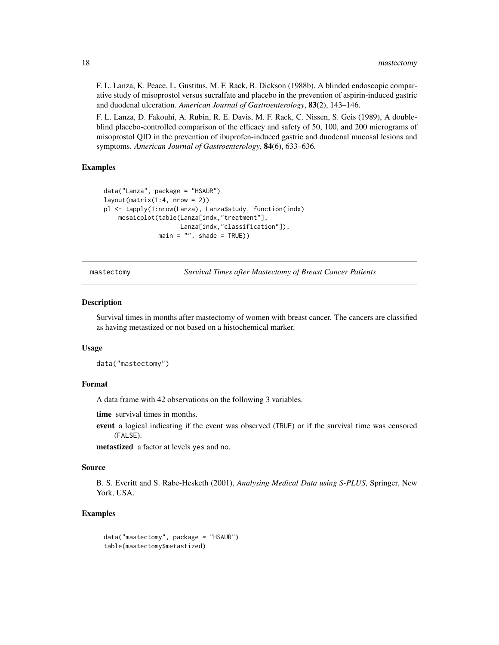<span id="page-17-0"></span>F. L. Lanza, K. Peace, L. Gustitus, M. F. Rack, B. Dickson (1988b), A blinded endoscopic comparative study of misoprostol versus sucralfate and placebo in the prevention of aspirin-induced gastric and duodenal ulceration. *American Journal of Gastroenterology*, 83(2), 143–146.

F. L. Lanza, D. Fakouhi, A. Rubin, R. E. Davis, M. F. Rack, C. Nissen, S. Geis (1989), A doubleblind placebo-controlled comparison of the efficacy and safety of 50, 100, and 200 micrograms of misoprostol QID in the prevention of ibuprofen-induced gastric and duodenal mucosal lesions and symptoms. *American Journal of Gastroenterology*, 84(6), 633–636.

# Examples

```
data("Lanza", package = "HSAUR")
layout(matrix(1:4, nrow = 2))pl <- tapply(1:nrow(Lanza), Lanza$study, function(indx)
    mosaicplot(table(Lanza[indx,"treatment"],
                     Lanza[indx,"classification"]),
               main = "", shade = TRUE))
```
mastectomy *Survival Times after Mastectomy of Breast Cancer Patients*

#### Description

Survival times in months after mastectomy of women with breast cancer. The cancers are classified as having metastized or not based on a histochemical marker.

#### Usage

```
data("mastectomy")
```
## Format

A data frame with 42 observations on the following 3 variables.

time survival times in months.

event a logical indicating if the event was observed (TRUE) or if the survival time was censored (FALSE).

metastized a factor at levels yes and no.

#### Source

B. S. Everitt and S. Rabe-Hesketh (2001), *Analysing Medical Data using S-PLUS*, Springer, New York, USA.

```
data("mastectomy", package = "HSAUR")
table(mastectomy$metastized)
```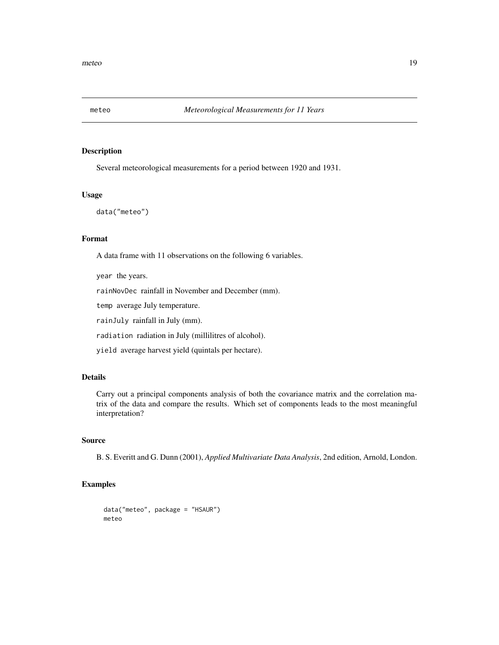<span id="page-18-0"></span>

Several meteorological measurements for a period between 1920 and 1931.

#### Usage

```
data("meteo")
```
# Format

A data frame with 11 observations on the following 6 variables.

year the years.

rainNovDec rainfall in November and December (mm).

temp average July temperature.

rainJuly rainfall in July (mm).

radiation radiation in July (millilitres of alcohol).

yield average harvest yield (quintals per hectare).

# Details

Carry out a principal components analysis of both the covariance matrix and the correlation matrix of the data and compare the results. Which set of components leads to the most meaningful interpretation?

# Source

B. S. Everitt and G. Dunn (2001), *Applied Multivariate Data Analysis*, 2nd edition, Arnold, London.

```
data("meteo", package = "HSAUR")
meteo
```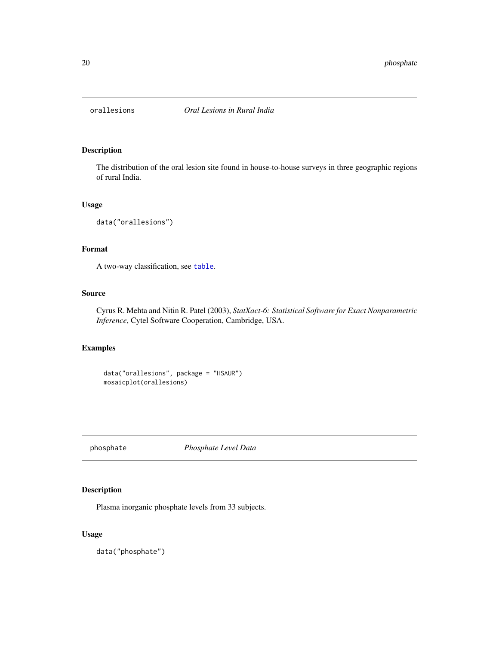<span id="page-19-0"></span>

The distribution of the oral lesion site found in house-to-house surveys in three geographic regions of rural India.

#### Usage

data("orallesions")

# Format

A two-way classification, see [table](#page-0-0).

# Source

Cyrus R. Mehta and Nitin R. Patel (2003), *StatXact-6: Statistical Software for Exact Nonparametric Inference*, Cytel Software Cooperation, Cambridge, USA.

# Examples

```
data("orallesions", package = "HSAUR")
mosaicplot(orallesions)
```
phosphate *Phosphate Level Data*

# Description

Plasma inorganic phosphate levels from 33 subjects.

# Usage

data("phosphate")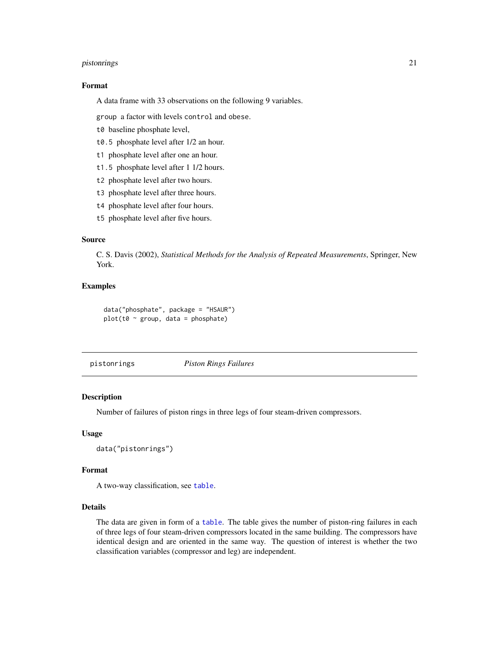#### <span id="page-20-0"></span>pistonrings 21

## Format

A data frame with 33 observations on the following 9 variables.

group a factor with levels control and obese.

- t0 baseline phosphate level,
- t0.5 phosphate level after 1/2 an hour.
- t1 phosphate level after one an hour.
- t1.5 phosphate level after 1 1/2 hours.
- t2 phosphate level after two hours.
- t3 phosphate level after three hours.
- t4 phosphate level after four hours.
- t5 phosphate level after five hours.

# Source

C. S. Davis (2002), *Statistical Methods for the Analysis of Repeated Measurements*, Springer, New York.

# Examples

```
data("phosphate", package = "HSAUR")
plot(t0 ~ ~ ~ group, data = phosphate)
```
pistonrings *Piston Rings Failures*

## Description

Number of failures of piston rings in three legs of four steam-driven compressors.

## Usage

```
data("pistonrings")
```
# Format

A two-way classification, see [table](#page-0-0).

# Details

The data are given in form of a [table](#page-0-0). The table gives the number of piston-ring failures in each of three legs of four steam-driven compressors located in the same building. The compressors have identical design and are oriented in the same way. The question of interest is whether the two classification variables (compressor and leg) are independent.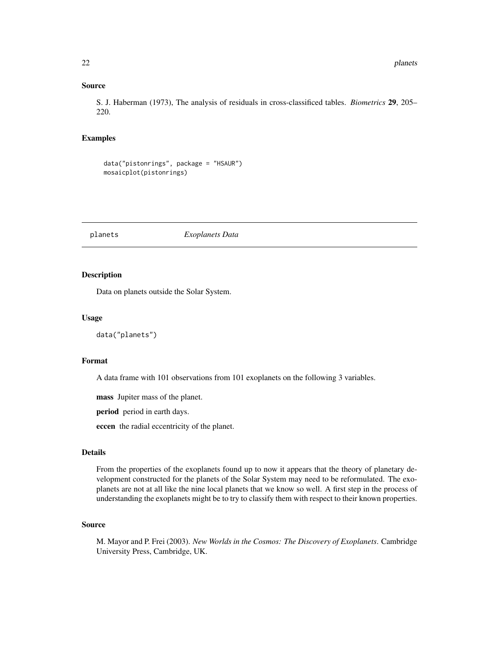# <span id="page-21-0"></span>Source

S. J. Haberman (1973), The analysis of residuals in cross-classificed tables. *Biometrics* 29, 205– 220.

# Examples

```
data("pistonrings", package = "HSAUR")
mosaicplot(pistonrings)
```
planets *Exoplanets Data*

## Description

Data on planets outside the Solar System.

# Usage

```
data("planets")
```
## Format

A data frame with 101 observations from 101 exoplanets on the following 3 variables.

mass Jupiter mass of the planet.

period period in earth days.

eccen the radial eccentricity of the planet.

# Details

From the properties of the exoplanets found up to now it appears that the theory of planetary development constructed for the planets of the Solar System may need to be reformulated. The exoplanets are not at all like the nine local planets that we know so well. A first step in the process of understanding the exoplanets might be to try to classify them with respect to their known properties.

# Source

M. Mayor and P. Frei (2003). *New Worlds in the Cosmos: The Discovery of Exoplanets*. Cambridge University Press, Cambridge, UK.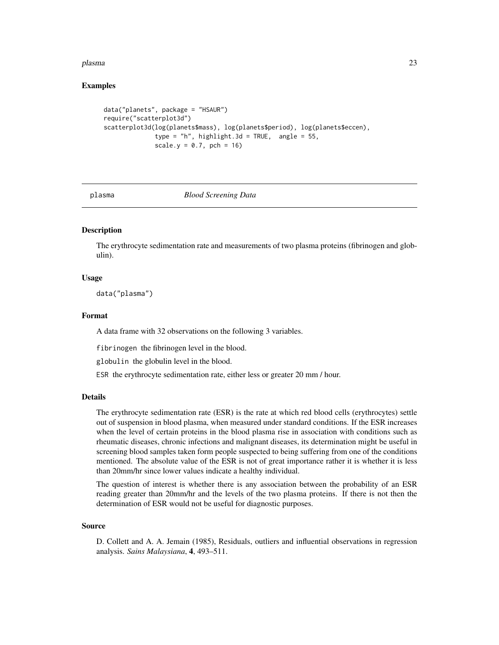#### <span id="page-22-0"></span>plasma 23

# Examples

```
data("planets", package = "HSAUR")
require("scatterplot3d")
scatterplot3d(log(planets$mass), log(planets$period), log(planets$eccen),
              type = "h", highlight.3d = TRUE, angle = 55,
              scale.y = 0.7, pch = 16
```
#### plasma *Blood Screening Data*

# **Description**

The erythrocyte sedimentation rate and measurements of two plasma proteins (fibrinogen and globulin).

# Usage

data("plasma")

## Format

A data frame with 32 observations on the following 3 variables.

fibrinogen the fibrinogen level in the blood.

globulin the globulin level in the blood.

ESR the erythrocyte sedimentation rate, either less or greater 20 mm / hour.

#### Details

The erythrocyte sedimentation rate (ESR) is the rate at which red blood cells (erythrocytes) settle out of suspension in blood plasma, when measured under standard conditions. If the ESR increases when the level of certain proteins in the blood plasma rise in association with conditions such as rheumatic diseases, chronic infections and malignant diseases, its determination might be useful in screening blood samples taken form people suspected to being suffering from one of the conditions mentioned. The absolute value of the ESR is not of great importance rather it is whether it is less than 20mm/hr since lower values indicate a healthy individual.

The question of interest is whether there is any association between the probability of an ESR reading greater than 20mm/hr and the levels of the two plasma proteins. If there is not then the determination of ESR would not be useful for diagnostic purposes.

#### Source

D. Collett and A. A. Jemain (1985), Residuals, outliers and influential observations in regression analysis. *Sains Malaysiana*, 4, 493–511.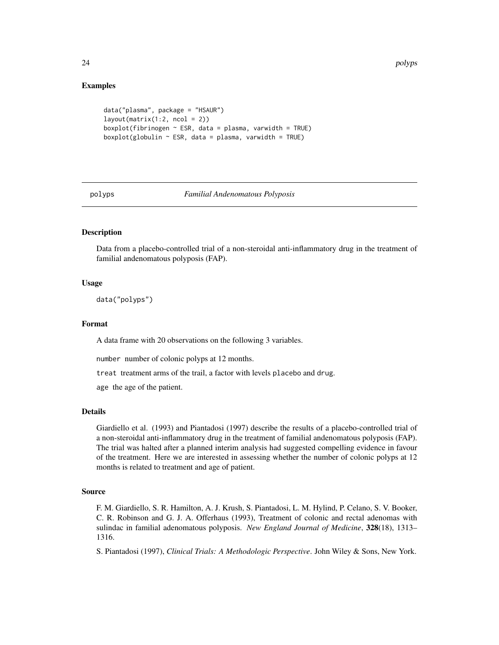# Examples

```
data("plasma", package = "HSAUR")
layout(matrix(1:2, ncol = 2))
boxplot(fibrinogen \sim ESR, data = plasma, varwidth = TRUE)
boxplot(globulin \sim ESR, data = plasma, varwidth = TRUE)
```
<span id="page-23-1"></span>

#### polyps *Familial Andenomatous Polyposis*

# **Description**

Data from a placebo-controlled trial of a non-steroidal anti-inflammatory drug in the treatment of familial andenomatous polyposis (FAP).

## Usage

data("polyps")

#### Format

A data frame with 20 observations on the following 3 variables.

number number of colonic polyps at 12 months.

treat treatment arms of the trail, a factor with levels placebo and drug.

age the age of the patient.

# Details

Giardiello et al. (1993) and Piantadosi (1997) describe the results of a placebo-controlled trial of a non-steroidal anti-inflammatory drug in the treatment of familial andenomatous polyposis (FAP). The trial was halted after a planned interim analysis had suggested compelling evidence in favour of the treatment. Here we are interested in assessing whether the number of colonic polyps at 12 months is related to treatment and age of patient.

#### Source

F. M. Giardiello, S. R. Hamilton, A. J. Krush, S. Piantadosi, L. M. Hylind, P. Celano, S. V. Booker, C. R. Robinson and G. J. A. Offerhaus (1993), Treatment of colonic and rectal adenomas with sulindac in familial adenomatous polyposis. *New England Journal of Medicine*, 328(18), 1313– 1316.

S. Piantadosi (1997), *Clinical Trials: A Methodologic Perspective*. John Wiley & Sons, New York.

<span id="page-23-0"></span>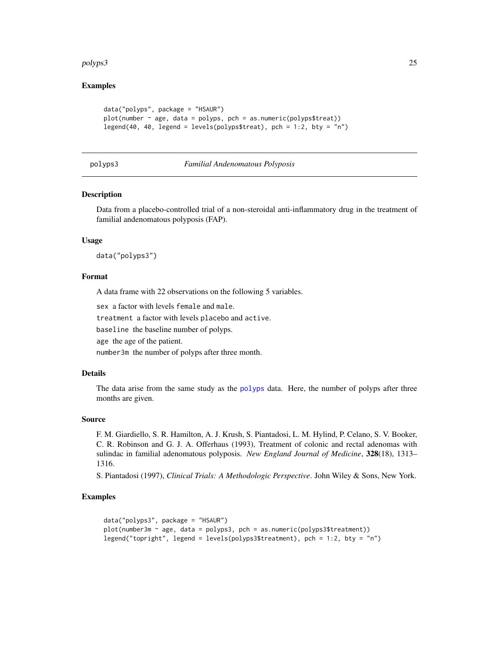#### <span id="page-24-0"></span>polyps3 25

# Examples

```
data("polyps", package = "HSAUR")
plot(number ~ age, data = polyps, pch = as.numeric(polyps$treat))legend(40, 40, legend = levels(polyps$treat), pch = 1:2, bty = "n")
```
## polyps3 *Familial Andenomatous Polyposis*

#### Description

Data from a placebo-controlled trial of a non-steroidal anti-inflammatory drug in the treatment of familial andenomatous polyposis (FAP).

## Usage

data("polyps3")

## Format

A data frame with 22 observations on the following 5 variables.

sex a factor with levels female and male.

treatment a factor with levels placebo and active.

baseline the baseline number of polyps.

age the age of the patient.

number3m the number of polyps after three month.

#### Details

The data arise from the same study as the [polyps](#page-23-1) data. Here, the number of polyps after three months are given.

## Source

F. M. Giardiello, S. R. Hamilton, A. J. Krush, S. Piantadosi, L. M. Hylind, P. Celano, S. V. Booker, C. R. Robinson and G. J. A. Offerhaus (1993), Treatment of colonic and rectal adenomas with sulindac in familial adenomatous polyposis. *New England Journal of Medicine*, 328(18), 1313– 1316.

S. Piantadosi (1997), *Clinical Trials: A Methodologic Perspective*. John Wiley & Sons, New York.

```
data("polyps3", package = "HSAUR")
plot(number3m ~ age, data = polyps3, pch = as.numeric(polyps3$treatment))
legend("topright", legend = levels(polyps3$treatment), pch = 1:2, bty = "n")
```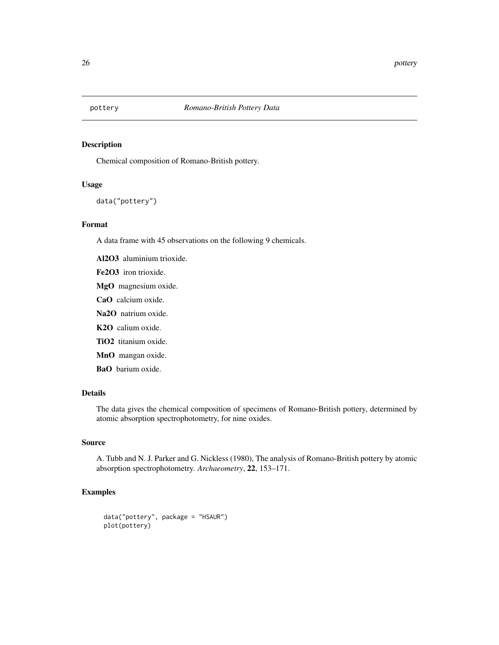<span id="page-25-0"></span>

Chemical composition of Romano-British pottery.

## Usage

```
data("pottery")
```
# Format

A data frame with 45 observations on the following 9 chemicals.

Al2O3 aluminium trioxide.

- Fe2O3 iron trioxide.
- MgO magnesium oxide.
- CaO calcium oxide.
- Na2O natrium oxide.
- K2O calium oxide.
- TiO2 titanium oxide.
- MnO mangan oxide.
- BaO barium oxide.

# Details

The data gives the chemical composition of specimens of Romano-British pottery, determined by atomic absorption spectrophotometry, for nine oxides.

## Source

A. Tubb and N. J. Parker and G. Nickless (1980), The analysis of Romano-British pottery by atomic absorption spectrophotometry. *Archaeometry*, 22, 153–171.

```
data("pottery", package = "HSAUR")
plot(pottery)
```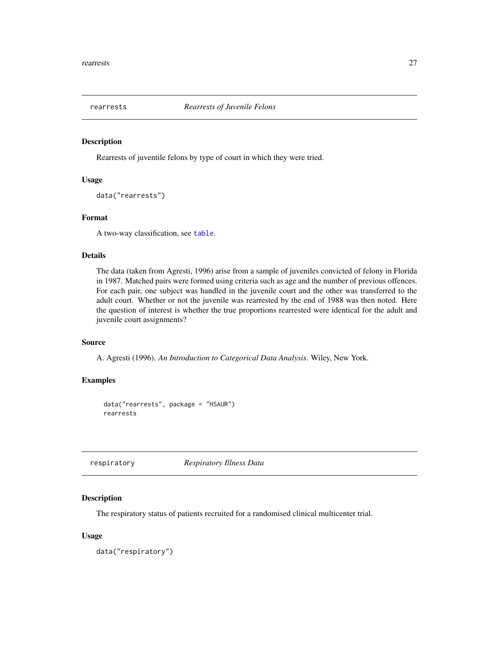<span id="page-26-0"></span>

Rearrests of juventile felons by type of court in which they were tried.

## Usage

data("rearrests")

## Format

A two-way classification, see [table](#page-0-0).

# Details

The data (taken from Agresti, 1996) arise from a sample of juveniles convicted of felony in Florida in 1987. Matched pairs were formed using criteria such as age and the number of previous offences. For each pair, one subject was handled in the juvenile court and the other was transferred to the adult court. Whether or not the juvenile was rearrested by the end of 1988 was then noted. Here the question of interest is whether the true proportions rearrested were identical for the adult and juvenile court assignments?

## Source

A. Agresti (1996). *An Introduction to Categorical Data Analysis*. Wiley, New York.

# Examples

```
data("rearrests", package = "HSAUR")
rearrests
```
respiratory *Respiratory Illness Data*

# Description

The respiratory status of patients recruited for a randomised clinical multicenter trial.

## Usage

data("respiratory")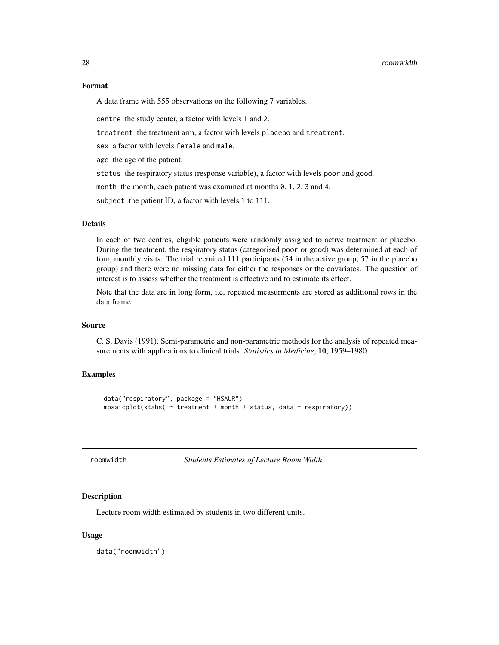#### <span id="page-27-0"></span>28 roomwidth

# Format

A data frame with 555 observations on the following 7 variables.

centre the study center, a factor with levels 1 and 2.

treatment the treatment arm, a factor with levels placebo and treatment.

sex a factor with levels female and male.

age the age of the patient.

status the respiratory status (response variable), a factor with levels poor and good.

month the month, each patient was examined at months 0, 1, 2, 3 and 4.

subject the patient ID, a factor with levels 1 to 111.

# Details

In each of two centres, eligible patients were randomly assigned to active treatment or placebo. During the treatment, the respiratory status (categorised poor or good) was determined at each of four, monthly visits. The trial recruited 111 participants (54 in the active group, 57 in the placebo group) and there were no missing data for either the responses or the covariates. The question of interest is to assess whether the treatment is effective and to estimate its effect.

Note that the data are in long form, i.e, repeated measurments are stored as additional rows in the data frame.

## Source

C. S. Davis (1991), Semi-parametric and non-parametric methods for the analysis of repeated measurements with applications to clinical trials. *Statistics in Medicine*, 10, 1959–1980.

## Examples

```
data("respiratory", package = "HSAUR")
mosaicplot(xtabs( ~ reatment + month + status, data = respiratory))
```
roomwidth *Students Estimates of Lecture Room Width*

#### Description

Lecture room width estimated by students in two different units.

#### Usage

data("roomwidth")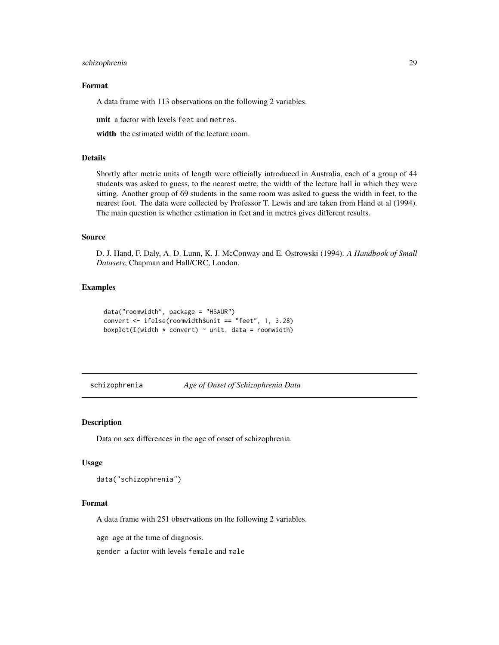# <span id="page-28-0"></span>schizophrenia 29

# Format

A data frame with 113 observations on the following 2 variables.

unit a factor with levels feet and metres.

width the estimated width of the lecture room.

# Details

Shortly after metric units of length were officially introduced in Australia, each of a group of 44 students was asked to guess, to the nearest metre, the width of the lecture hall in which they were sitting. Another group of 69 students in the same room was asked to guess the width in feet, to the nearest foot. The data were collected by Professor T. Lewis and are taken from Hand et al (1994). The main question is whether estimation in feet and in metres gives different results.

# Source

D. J. Hand, F. Daly, A. D. Lunn, K. J. McConway and E. Ostrowski (1994). *A Handbook of Small Datasets*, Chapman and Hall/CRC, London.

# Examples

```
data("roomwidth", package = "HSAUR")
convert <- ifelse(roomwidth$unit == "feet", 1, 3.28)
boxplot(I(width * convert) * unit, data = roomwidth)
```
schizophrenia *Age of Onset of Schizophrenia Data*

#### Description

Data on sex differences in the age of onset of schizophrenia.

#### Usage

data("schizophrenia")

## Format

A data frame with 251 observations on the following 2 variables.

age age at the time of diagnosis.

gender a factor with levels female and male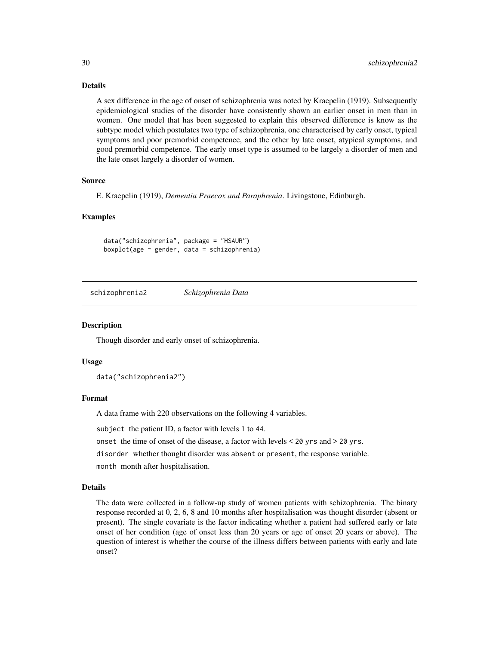# Details

A sex difference in the age of onset of schizophrenia was noted by Kraepelin (1919). Subsequently epidemiological studies of the disorder have consistently shown an earlier onset in men than in women. One model that has been suggested to explain this observed difference is know as the subtype model which postulates two type of schizophrenia, one characterised by early onset, typical symptoms and poor premorbid competence, and the other by late onset, atypical symptoms, and good premorbid competence. The early onset type is assumed to be largely a disorder of men and the late onset largely a disorder of women.

## Source

E. Kraepelin (1919), *Dementia Praecox and Paraphrenia*. Livingstone, Edinburgh.

## Examples

data("schizophrenia", package = "HSAUR") boxplot(age ~ gender, data = schizophrenia)

schizophrenia2 *Schizophrenia Data*

#### Description

Though disorder and early onset of schizophrenia.

# Usage

data("schizophrenia2")

# Format

A data frame with 220 observations on the following 4 variables.

subject the patient ID, a factor with levels 1 to 44.

onset the time of onset of the disease, a factor with levels < 20 yrs and > 20 yrs.

disorder whether thought disorder was absent or present, the response variable.

month month after hospitalisation.

## Details

The data were collected in a follow-up study of women patients with schizophrenia. The binary response recorded at 0, 2, 6, 8 and 10 months after hospitalisation was thought disorder (absent or present). The single covariate is the factor indicating whether a patient had suffered early or late onset of her condition (age of onset less than 20 years or age of onset 20 years or above). The question of interest is whether the course of the illness differs between patients with early and late onset?

<span id="page-29-0"></span>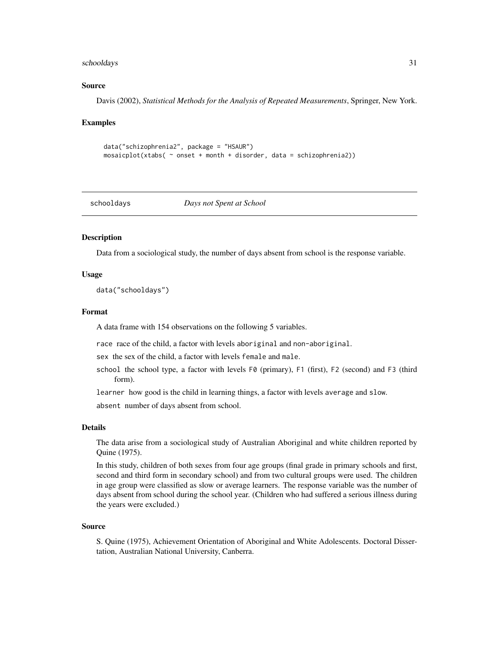#### <span id="page-30-0"></span>schooldays 31

# Source

Davis (2002), *Statistical Methods for the Analysis of Repeated Measurements*, Springer, New York.

#### Examples

```
data("schizophrenia2", package = "HSAUR")
mosaicplot(xtabs( ~ onset + month + disorder, data = schizophrenia2))
```
#### schooldays *Days not Spent at School*

## Description

Data from a sociological study, the number of days absent from school is the response variable.

#### Usage

data("schooldays")

#### Format

A data frame with 154 observations on the following 5 variables.

race race of the child, a factor with levels aboriginal and non-aboriginal.

sex the sex of the child, a factor with levels female and male.

school the school type, a factor with levels F0 (primary), F1 (first), F2 (second) and F3 (third form).

learner how good is the child in learning things, a factor with levels average and slow.

absent number of days absent from school.

#### Details

The data arise from a sociological study of Australian Aboriginal and white children reported by Quine (1975).

In this study, children of both sexes from four age groups (final grade in primary schools and first, second and third form in secondary school) and from two cultural groups were used. The children in age group were classified as slow or average learners. The response variable was the number of days absent from school during the school year. (Children who had suffered a serious illness during the years were excluded.)

#### Source

S. Quine (1975), Achievement Orientation of Aboriginal and White Adolescents. Doctoral Dissertation, Australian National University, Canberra.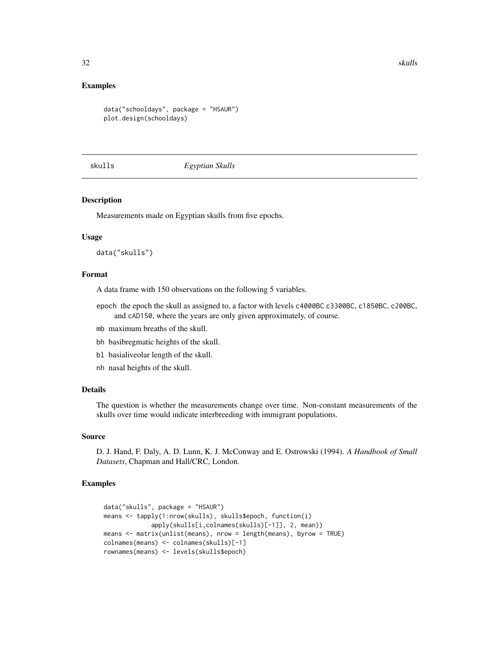# <span id="page-31-0"></span>Examples

```
data("schooldays", package = "HSAUR")
plot.design(schooldays)
```
skulls *Egyptian Skulls*

## Description

Measurements made on Egyptian skulls from five epochs.

# Usage

data("skulls")

# Format

A data frame with 150 observations on the following 5 variables.

- epoch the epoch the skull as assigned to, a factor with levels c4000BC c3300BC, c1850BC, c200BC, and cAD150, where the years are only given approximately, of course.
- mb maximum breaths of the skull.
- bh basibregmatic heights of the skull.
- bl basialiveolar length of the skull.
- nh nasal heights of the skull.

# Details

The question is whether the measurements change over time. Non-constant measurements of the skulls over time would indicate interbreeding with immigrant populations.

#### Source

D. J. Hand, F. Daly, A. D. Lunn, K. J. McConway and E. Ostrowski (1994). *A Handbook of Small Datasets*, Chapman and Hall/CRC, London.

```
data("skulls", package = "HSAUR")
means <- tapply(1:nrow(skulls), skulls$epoch, function(i)
             apply(skulls[i,colnames(skulls)[-1]], 2, mean))
means <- matrix(unlist(means), nrow = length(means), byrow = TRUE)
colnames(means) <- colnames(skulls)[-1]
rownames(means) <- levels(skulls$epoch)
```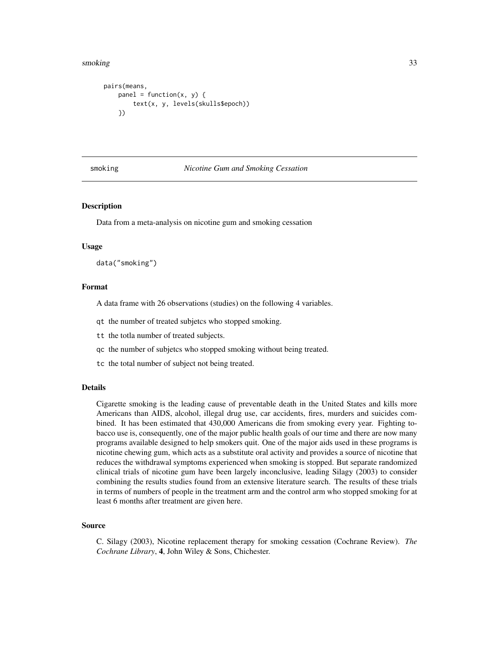#### <span id="page-32-0"></span>smoking 33

```
pairs(means,
    panel = function(x, y) { }text(x, y, levels(skulls$epoch))
    })
```
## smoking *Nicotine Gum and Smoking Cessation*

# Description

Data from a meta-analysis on nicotine gum and smoking cessation

#### Usage

data("smoking")

# Format

A data frame with 26 observations (studies) on the following 4 variables.

- qt the number of treated subjetcs who stopped smoking.
- tt the totla number of treated subjects.
- qc the number of subjetcs who stopped smoking without being treated.
- tc the total number of subject not being treated.

#### Details

Cigarette smoking is the leading cause of preventable death in the United States and kills more Americans than AIDS, alcohol, illegal drug use, car accidents, fires, murders and suicides combined. It has been estimated that 430,000 Americans die from smoking every year. Fighting tobacco use is, consequently, one of the major public health goals of our time and there are now many programs available designed to help smokers quit. One of the major aids used in these programs is nicotine chewing gum, which acts as a substitute oral activity and provides a source of nicotine that reduces the withdrawal symptoms experienced when smoking is stopped. But separate randomized clinical trials of nicotine gum have been largely inconclusive, leading Silagy (2003) to consider combining the results studies found from an extensive literature search. The results of these trials in terms of numbers of people in the treatment arm and the control arm who stopped smoking for at least 6 months after treatment are given here.

#### Source

C. Silagy (2003), Nicotine replacement therapy for smoking cessation (Cochrane Review). *The Cochrane Library*, 4, John Wiley & Sons, Chichester.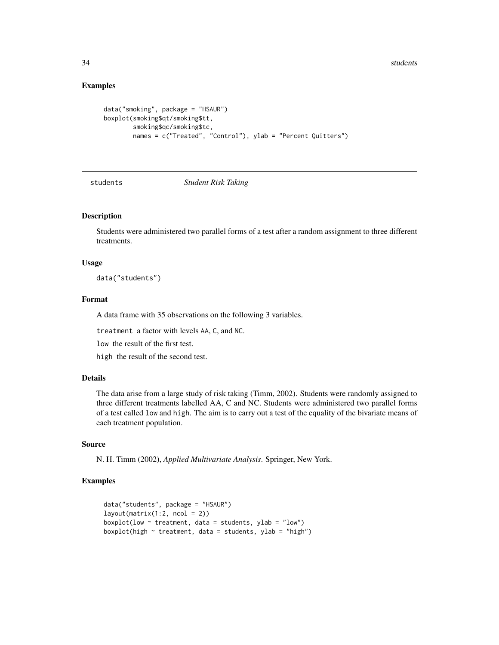# Examples

```
data("smoking", package = "HSAUR")
boxplot(smoking$qt/smoking$tt,
       smoking$qc/smoking$tc,
        names = c("Treated", "Control"), ylab = "Percent Quitters")
```
students *Student Risk Taking*

# Description

Students were administered two parallel forms of a test after a random assignment to three different treatments.

#### Usage

data("students")

# Format

A data frame with 35 observations on the following 3 variables.

treatment a factor with levels AA, C, and NC.

low the result of the first test.

high the result of the second test.

# Details

The data arise from a large study of risk taking (Timm, 2002). Students were randomly assigned to three different treatments labelled AA, C and NC. Students were administered two parallel forms of a test called low and high. The aim is to carry out a test of the equality of the bivariate means of each treatment population.

# Source

N. H. Timm (2002), *Applied Multivariate Analysis*. Springer, New York.

```
data("students", package = "HSAUR")
layout(matrix(1:2, ncol = 2))boxplot(low \sim treatment, data = students, ylab = "low")
boxplot(high \sim treatment, data = students, ylab = "high")
```
<span id="page-33-0"></span>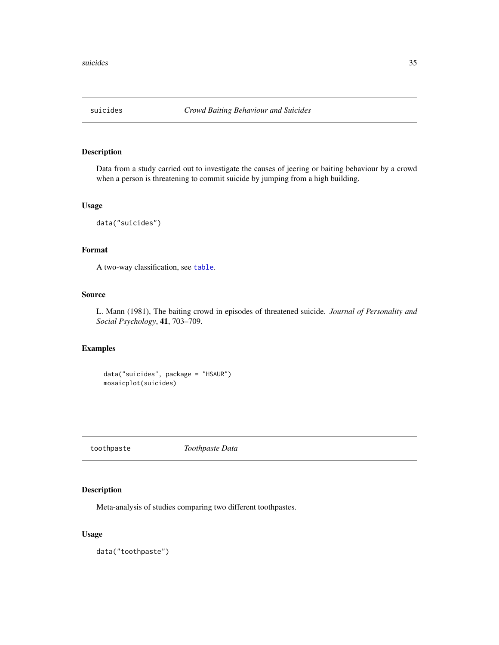<span id="page-34-0"></span>

Data from a study carried out to investigate the causes of jeering or baiting behaviour by a crowd when a person is threatening to commit suicide by jumping from a high building.

# Usage

data("suicides")

# Format

A two-way classification, see [table](#page-0-0).

## Source

L. Mann (1981), The baiting crowd in episodes of threatened suicide. *Journal of Personality and Social Psychology*, 41, 703–709.

# Examples

data("suicides", package = "HSAUR") mosaicplot(suicides)

toothpaste *Toothpaste Data*

# Description

Meta-analysis of studies comparing two different toothpastes.

# Usage

data("toothpaste")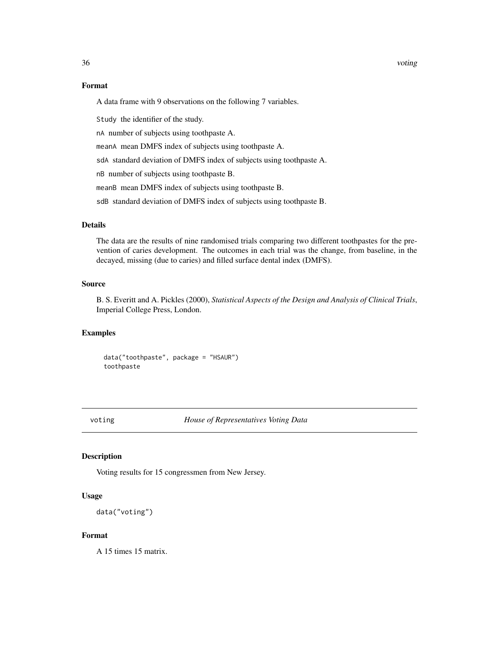## <span id="page-35-0"></span>Format

A data frame with 9 observations on the following 7 variables.

Study the identifier of the study.

nA number of subjects using toothpaste A.

meanA mean DMFS index of subjects using toothpaste A.

sdA standard deviation of DMFS index of subjects using toothpaste A.

nB number of subjects using toothpaste B.

meanB mean DMFS index of subjects using toothpaste B.

sdB standard deviation of DMFS index of subjects using toothpaste B.

# Details

The data are the results of nine randomised trials comparing two different toothpastes for the prevention of caries development. The outcomes in each trial was the change, from baseline, in the decayed, missing (due to caries) and filled surface dental index (DMFS).

## Source

B. S. Everitt and A. Pickles (2000), *Statistical Aspects of the Design and Analysis of Clinical Trials*, Imperial College Press, London.

#### Examples

data("toothpaste", package = "HSAUR") toothpaste

voting *House of Representatives Voting Data*

# Description

Voting results for 15 congressmen from New Jersey.

## Usage

```
data("voting")
```
#### Format

A 15 times 15 matrix.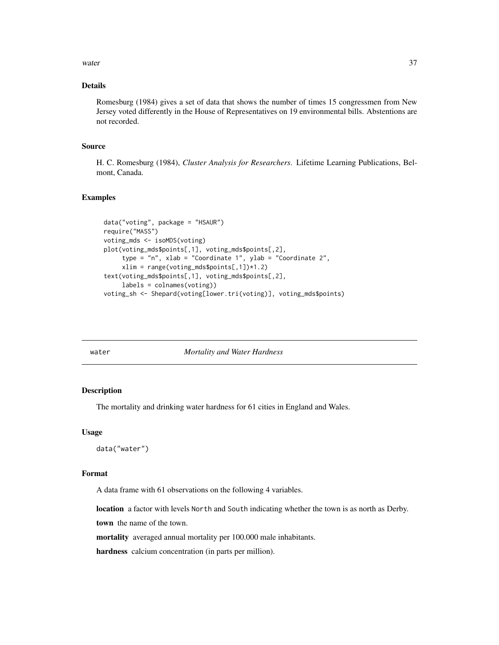<span id="page-36-0"></span>water 37

# Details

Romesburg (1984) gives a set of data that shows the number of times 15 congressmen from New Jersey voted differently in the House of Representatives on 19 environmental bills. Abstentions are not recorded.

# Source

H. C. Romesburg (1984), *Cluster Analysis for Researchers*. Lifetime Learning Publications, Belmont, Canada.

# Examples

```
data("voting", package = "HSAUR")
require("MASS")
voting_mds <- isoMDS(voting)
plot(voting_mds$points[,1], voting_mds$points[,2],
     type = "n", xlab = "Coordinate 1", ylab = "Coordinate 2",
     xlim = range(voting_mds$points[,1])*1.2)
text(voting_mds$points[,1], voting_mds$points[,2],
     labels = colnames(voting))
voting_sh <- Shepard(voting[lower.tri(voting)], voting_mds$points)
```
water *Mortality and Water Hardness*

# **Description**

The mortality and drinking water hardness for 61 cities in England and Wales.

#### Usage

```
data("water")
```
## Format

A data frame with 61 observations on the following 4 variables.

location a factor with levels North and South indicating whether the town is as north as Derby.

town the name of the town.

mortality averaged annual mortality per 100.000 male inhabitants.

hardness calcium concentration (in parts per million).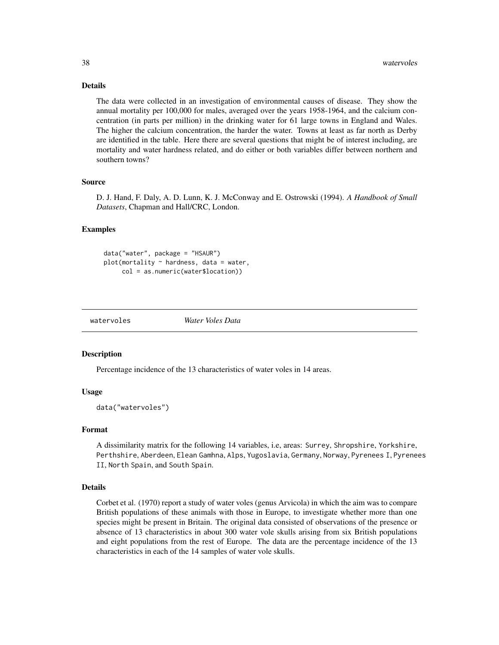# Details

The data were collected in an investigation of environmental causes of disease. They show the annual mortality per 100,000 for males, averaged over the years 1958-1964, and the calcium concentration (in parts per million) in the drinking water for 61 large towns in England and Wales. The higher the calcium concentration, the harder the water. Towns at least as far north as Derby are identified in the table. Here there are several questions that might be of interest including, are mortality and water hardness related, and do either or both variables differ between northern and southern towns?

#### Source

D. J. Hand, F. Daly, A. D. Lunn, K. J. McConway and E. Ostrowski (1994). *A Handbook of Small Datasets*, Chapman and Hall/CRC, London.

## Examples

```
data("water", package = "HSAUR")
plot(mortality ~~harch{2}) + hardness, data = water,
     col = as.numeric(water$location))
```
watervoles *Water Voles Data*

## Description

Percentage incidence of the 13 characteristics of water voles in 14 areas.

#### Usage

```
data("watervoles")
```
## Format

A dissimilarity matrix for the following 14 variables, i.e, areas: Surrey, Shropshire, Yorkshire, Perthshire, Aberdeen, Elean Gamhna, Alps, Yugoslavia, Germany, Norway, Pyrenees I, Pyrenees II, North Spain, and South Spain.

#### Details

Corbet et al. (1970) report a study of water voles (genus Arvicola) in which the aim was to compare British populations of these animals with those in Europe, to investigate whether more than one species might be present in Britain. The original data consisted of observations of the presence or absence of 13 characteristics in about 300 water vole skulls arising from six British populations and eight populations from the rest of Europe. The data are the percentage incidence of the 13 characteristics in each of the 14 samples of water vole skulls.

<span id="page-37-0"></span>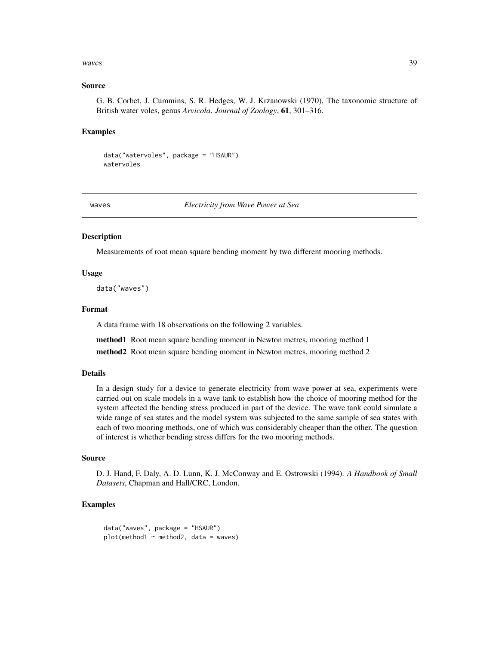#### <span id="page-38-0"></span>waves 39

## Source

G. B. Corbet, J. Cummins, S. R. Hedges, W. J. Krzanowski (1970), The taxonomic structure of British water voles, genus *Arvicola*. *Journal of Zoology*, 61, 301–316.

# Examples

```
data("watervoles", package = "HSAUR")
watervoles
```
waves *Electricity from Wave Power at Sea*

# **Description**

Measurements of root mean square bending moment by two different mooring methods.

# Usage

data("waves")

## Format

A data frame with 18 observations on the following 2 variables.

method1 Root mean square bending moment in Newton metres, mooring method 1

method2 Root mean square bending moment in Newton metres, mooring method 2

#### Details

In a design study for a device to generate electricity from wave power at sea, experiments were carried out on scale models in a wave tank to establish how the choice of mooring method for the system affected the bending stress produced in part of the device. The wave tank could simulate a wide range of sea states and the model system was subjected to the same sample of sea states with each of two mooring methods, one of which was considerably cheaper than the other. The question of interest is whether bending stress differs for the two mooring methods.

#### Source

D. J. Hand, F. Daly, A. D. Lunn, K. J. McConway and E. Ostrowski (1994). *A Handbook of Small Datasets*, Chapman and Hall/CRC, London.

## Examples

data("waves", package = "HSAUR")  $plot(method1 ~ method2, data = waves)$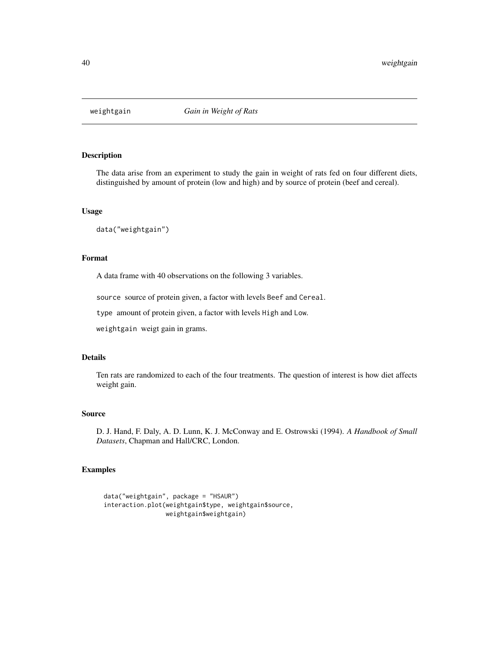<span id="page-39-0"></span>

The data arise from an experiment to study the gain in weight of rats fed on four different diets, distinguished by amount of protein (low and high) and by source of protein (beef and cereal).

# Usage

```
data("weightgain")
```
# Format

A data frame with 40 observations on the following 3 variables.

source source of protein given, a factor with levels Beef and Cereal.

type amount of protein given, a factor with levels High and Low.

weightgain weigt gain in grams.

## Details

Ten rats are randomized to each of the four treatments. The question of interest is how diet affects weight gain.

# Source

D. J. Hand, F. Daly, A. D. Lunn, K. J. McConway and E. Ostrowski (1994). *A Handbook of Small Datasets*, Chapman and Hall/CRC, London.

```
data("weightgain", package = "HSAUR")
interaction.plot(weightgain$type, weightgain$source,
                weightgain$weightgain)
```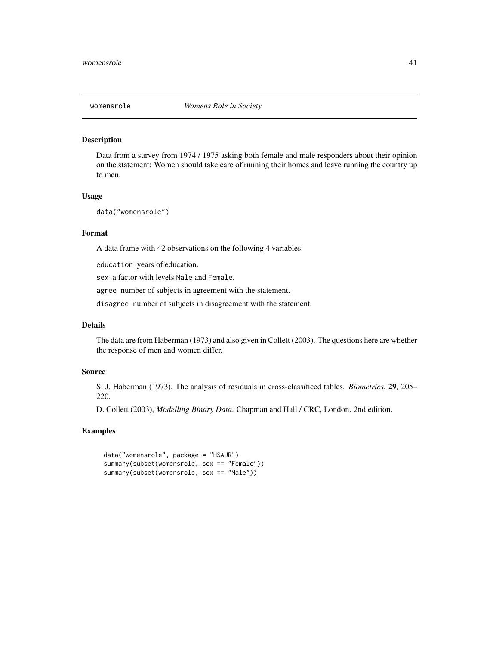<span id="page-40-0"></span>

Data from a survey from 1974 / 1975 asking both female and male responders about their opinion on the statement: Women should take care of running their homes and leave running the country up to men.

# Usage

```
data("womensrole")
```
# Format

A data frame with 42 observations on the following 4 variables.

education years of education.

sex a factor with levels Male and Female.

agree number of subjects in agreement with the statement.

disagree number of subjects in disagreement with the statement.

# Details

The data are from Haberman (1973) and also given in Collett (2003). The questions here are whether the response of men and women differ.

## Source

S. J. Haberman (1973), The analysis of residuals in cross-classificed tables. *Biometrics*, 29, 205– 220.

D. Collett (2003), *Modelling Binary Data*. Chapman and Hall / CRC, London. 2nd edition.

```
data("womensrole", package = "HSAUR")
summary(subset(womensrole, sex == "Female"))
summary(subset(womensrole, sex == "Male"))
```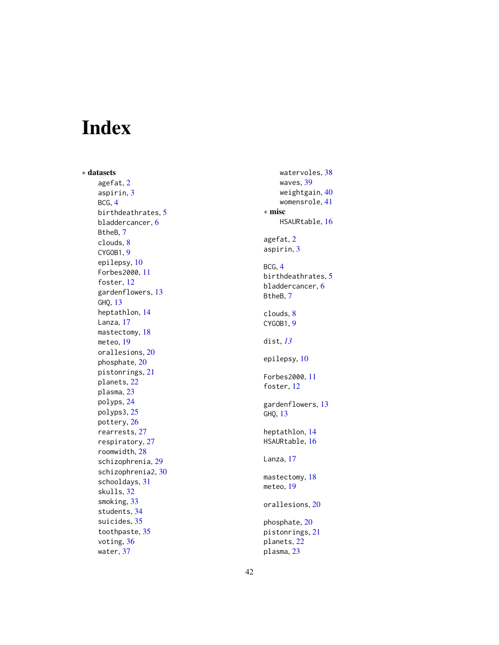# <span id="page-41-0"></span>Index

∗ datasets agefat , [2](#page-1-0) aspirin , [3](#page-2-0) BCG , [4](#page-3-0) birthdeathrates , [5](#page-4-0) bladdercancer , [6](#page-5-0) BtheB , [7](#page-6-0) clouds , [8](#page-7-0) CYGOB1, [9](#page-8-0) epilepsy , [10](#page-9-0) Forbes2000 , [11](#page-10-0) foster, [12](#page-11-0) gardenflowers , [13](#page-12-0) GHQ , [13](#page-12-0) heptathlon , [14](#page-13-0) Lanza, [17](#page-16-0) mastectomy, [18](#page-17-0) meteo , [19](#page-18-0) orallesions , [20](#page-19-0) phosphate , [20](#page-19-0) pistonrings , [21](#page-20-0) planets , [22](#page-21-0) plasma , [23](#page-22-0) polyps , [24](#page-23-0) polyps3 , [25](#page-24-0) pottery , [26](#page-25-0) rearrests , [27](#page-26-0) respiratory , [27](#page-26-0) roomwidth , [28](#page-27-0) schizophrenia, [29](#page-28-0) schizophrenia2 , [30](#page-29-0) schooldays , [31](#page-30-0) skulls , [32](#page-31-0) smoking , [33](#page-32-0) students , [34](#page-33-0) suicides, [35](#page-34-0) toothpaste , [35](#page-34-0) voting, [36](#page-35-0) water , [37](#page-36-0)

watervoles , [38](#page-37-0) waves , [39](#page-38-0) weightgain , [40](#page-39-0) womensrole , [41](#page-40-0) ∗ misc HSAURtable, [16](#page-15-0) agefat , [2](#page-1-0) aspirin , [3](#page-2-0) BCG , [4](#page-3-0) birthdeathrates , [5](#page-4-0) bladdercancer, [6](#page-5-0) BtheB , [7](#page-6-0) clouds , [8](#page-7-0) CYGOB1, [9](#page-8-0) dist , *[13](#page-12-0)* epilepsy , [10](#page-9-0) Forbes2000 , [11](#page-10-0) foster, [12](#page-11-0) gardenflowers , [13](#page-12-0) GHQ , [13](#page-12-0) heptathlon , [14](#page-13-0) HSAURtable , [16](#page-15-0) Lanza, [17](#page-16-0) mastectomy, [18](#page-17-0) meteo , [19](#page-18-0) orallesions , [20](#page-19-0) phosphate , [20](#page-19-0) pistonrings , [21](#page-20-0) planets , [22](#page-21-0) plasma , [23](#page-22-0)